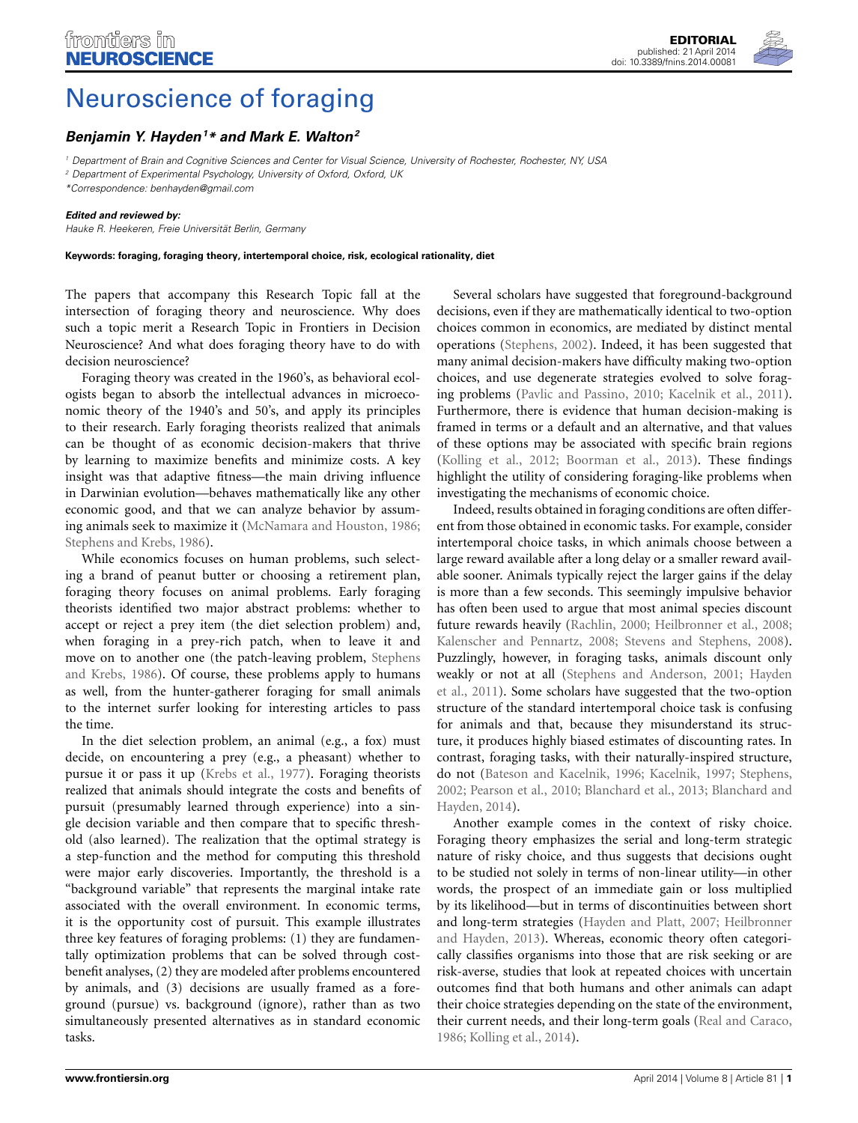

# [Neuroscience of foraging](http://www.frontiersin.org/journal/10.3389/fnins.2014.00081/full)

# *[Benjamin Y. Hayden1](http://community.frontiersin.org/people/u/17169) \* and [Mark E. Walton](http://community.frontiersin.org/people/u/11096)2*

*<sup>1</sup> Department of Brain and Cognitive Sciences and Center for Visual Science, University of Rochester, Rochester, NY, USA*

*<sup>2</sup> Department of Experimental Psychology, University of Oxford, Oxford, UK*

*\*Correspondence: benhayden@gmail.com*

#### *Edited and reviewed by:*

*Hauke R. Heekeren, Freie Universität Berlin, Germany*

**Keywords: foraging, foraging theory, intertemporal choice, risk, ecological rationality, diet**

The papers that accompany this Research Topic fall at the intersection of foraging theory and neuroscience. Why does such a topic merit a Research Topic in Frontiers in Decision Neuroscience? And what does foraging theory have to do with decision neuroscience?

Foraging theory was created in the 1960's, as behavioral ecologists began to absorb the intellectual advances in microeconomic theory of the 1940's and 50's, and apply its principles to their research. Early foraging theorists realized that animals can be thought of as economic decision-makers that thrive by learning to maximize benefits and minimize costs. A key insight was that adaptive fitness—the main driving influence in Darwinian evolution—behaves mathematically like any other economic good, and that we can analyze behavior by assuming animals seek to maximize it [\(McNamara and Houston, 1986;](#page-1-0) [Stephens and Krebs, 1986](#page-2-0)).

While economics focuses on human problems, such selecting a brand of peanut butter or choosing a retirement plan, foraging theory focuses on animal problems. Early foraging theorists identified two major abstract problems: whether to accept or reject a prey item (the diet selection problem) and, when foraging in a prey-rich patch, when to leave it and move on [to another one \(the patch-leaving problem,](#page-2-0) Stephens and Krebs, [1986](#page-2-0)). Of course, these problems apply to humans as well, from the hunter-gatherer foraging for small animals to the internet surfer looking for interesting articles to pass the time.

In the diet selection problem, an animal (e.g., a fox) must decide, on encountering a prey (e.g., a pheasant) whether to pursue it or pass it up [\(Krebs et al., 1977](#page-1-1)). Foraging theorists realized that animals should integrate the costs and benefits of pursuit (presumably learned through experience) into a single decision variable and then compare that to specific threshold (also learned). The realization that the optimal strategy is a step-function and the method for computing this threshold were major early discoveries. Importantly, the threshold is a "background variable" that represents the marginal intake rate associated with the overall environment. In economic terms, it is the opportunity cost of pursuit. This example illustrates three key features of foraging problems: (1) they are fundamentally optimization problems that can be solved through costbenefit analyses, (2) they are modeled after problems encountered by animals, and (3) decisions are usually framed as a foreground (pursue) vs. background (ignore), rather than as two simultaneously presented alternatives as in standard economic tasks.

Several scholars have suggested that foreground-background decisions, even if they are mathematically identical to two-option choices common in economics, are mediated by distinct mental operations [\(Stephens](#page-2-1), [2002](#page-2-1)). Indeed, it has been suggested that many animal decision-makers have difficulty making two-option choices, and use degenerate strategies evolved to solve foraging problems [\(Pavlic and Passino, 2010](#page-1-2); [Kacelnik et al., 2011\)](#page-1-3). Furthermore, there is evidence that human decision-making is framed in terms or a default and an alternative, and that values of these options may be associated with specific brain regions [\(Kolling et al.](#page-1-4), [2012;](#page-1-4) [Boorman et al.](#page-1-5), [2013\)](#page-1-5). These findings highlight the utility of considering foraging-like problems when investigating the mechanisms of economic choice.

Indeed, results obtained in foraging conditions are often different from those obtained in economic tasks. For example, consider intertemporal choice tasks, in which animals choose between a large reward available after a long delay or a smaller reward available sooner. Animals typically reject the larger gains if the delay is more than a few seconds. This seemingly impulsive behavior has often been used to argue that most animal species discount future rewards heavily [\(Rachlin](#page-1-6), [2000;](#page-1-6) [Heilbronner et al., 2008;](#page-1-7) [Kalenscher and Pennartz, 2008;](#page-1-8) [Stevens and Stephens](#page-2-2), [2008](#page-2-2)). Puzzlingly, however, in foraging tasks, animals discount only wea[kly or not at all](#page-1-9) [\(Stephens and Anderson](#page-2-3)[,](#page-1-9) [2001](#page-2-3)[;](#page-1-9) Hayden et al., [2011\)](#page-1-9). Some scholars have suggested that the two-option structure of the standard intertemporal choice task is confusing for animals and that, because they misunderstand its structure, it produces highly biased estimates of discounting rates. In contrast, foraging tasks, with their naturally-inspired structure, do not [\(Bateson and Kacelnik, 1996](#page-1-10); [Kacelnik, 1997;](#page-1-11) [Stephens,](#page-2-1) [2002](#page-2-1); [Pearson et al., 2010](#page-1-12)[;](#page-1-14) [Blanchard et al.](#page-1-13)[,](#page-1-14) [2013](#page-1-13)[;](#page-1-14) Blanchard and Hayden, [2014](#page-1-14)).

Another example comes in the context of risky choice. Foraging theory emphasizes the serial and long-term strategic nature of risky choice, and thus suggests that decisions ought to be studied not solely in terms of non-linear utility—in other words, the prospect of an immediate gain or loss multiplied by its likelihood—but in terms of discontinuities between short and long-te[rm](#page-1-16) [strategies](#page-1-16) [\(Hayden and Platt](#page-1-15)[,](#page-1-16) [2007](#page-1-15)[;](#page-1-16) Heilbronner and Hayden, [2013\)](#page-1-16). Whereas, economic theory often categorically classifies organisms into those that are risk seeking or are risk-averse, studies that look at repeated choices with uncertain outcomes find that both humans and other animals can adapt their choice strategies depending on the state of the environment, their current needs, and their long-term goals [\(Real and Caraco,](#page-2-4) [1986](#page-2-4); [Kolling et al., 2014](#page-1-17)).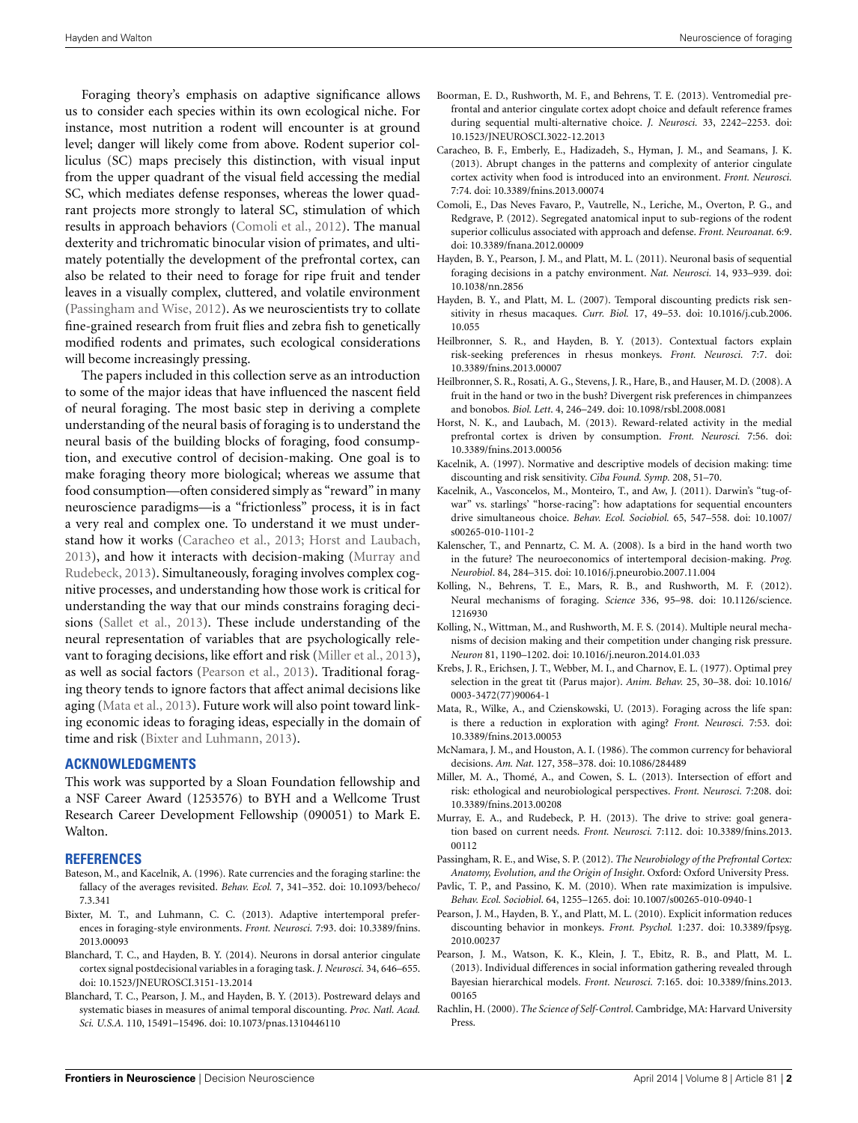Foraging theory's emphasis on adaptive significance allows us to consider each species within its own ecological niche. For instance, most nutrition a rodent will encounter is at ground level; danger will likely come from above. Rodent superior colliculus (SC) maps precisely this distinction, with visual input from the upper quadrant of the visual field accessing the medial SC, which mediates defense responses, whereas the lower quadrant projects more strongly to lateral SC, stimulation of which results in approach behaviors [\(Comoli et al., 2012](#page-1-18)). The manual dexterity and trichromatic binocular vision of primates, and ultimately potentially the development of the prefrontal cortex, can also be related to their need to forage for ripe fruit and tender leaves in a visually complex, cluttered, and volatile environment [\(Passingham and Wise, 2012](#page-1-19)). As we neuroscientists try to collate fine-grained research from fruit flies and zebra fish to genetically modified rodents and primates, such ecological considerations will become increasingly pressing.

The papers included in this collection serve as an introduction to some of the major ideas that have influenced the nascent field of neural foraging. The most basic step in deriving a complete understanding of the neural basis of foraging is to understand the neural basis of the building blocks of foraging, food consumption, and executive control of decision-making. One goal is to make foraging theory more biological; whereas we assume that food consumption—often considered simply as "reward" in many neuroscience paradigms—is a "frictionless" process, it is in fact a very real and complex one. To understand it we must understand how it works [\(Caracheo et al.](#page-1-20), [2013](#page-1-20); [Horst and Laubach,](#page-1-21) [2013](#page-1-21)), an[d how it interacts with decision-making \(](#page-1-22)Murray and Rudebeck, [2013\)](#page-1-22). Simultaneously, foraging involves complex cognitive processes, and understanding how those work is critical for understanding the way that our minds constrains foraging decisions [\(Sallet et al.](#page-2-5), [2013\)](#page-2-5). These include understanding of the neural representation of variables that are psychologically relevant to foraging decisions, like effort and risk [\(Miller et al.](#page-1-23), [2013\)](#page-1-23), as well as social factors [\(Pearson et al., 2013\)](#page-1-24). Traditional foraging theory tends to ignore factors that affect animal decisions like aging [\(Mata et al., 2013](#page-1-25)). Future work will also point toward linking economic ideas to foraging ideas, especially in the domain of time and risk [\(Bixter and Luhmann, 2013\)](#page-1-26).

### **ACKNOWLEDGMENTS**

This work was supported by a Sloan Foundation fellowship and a NSF Career Award (1253576) to BYH and a Wellcome Trust Research Career Development Fellowship (090051) to Mark E. Walton.

## **REFERENCES**

- <span id="page-1-10"></span>Bateson, M., and Kacelnik, A. (1996). Rate currencies and the foraging starline: the fallacy of the averages revisited. *Behav. Ecol.* 7, 341–352. doi: 10.1093/beheco/ 7.3.341
- <span id="page-1-26"></span>Bixter, M. T., and Luhmann, C. C. (2013). Adaptive intertemporal preferences in foraging-style environments. *Front. Neurosci.* 7:93. doi: 10.3389/fnins. 2013.00093
- <span id="page-1-14"></span>Blanchard, T. C., and Hayden, B. Y. (2014). Neurons in dorsal anterior cingulate cortex signal postdecisional variables in a foraging task. *J. Neurosci.* 34, 646–655. doi: 10.1523/JNEUROSCI.3151-13.2014
- <span id="page-1-13"></span>Blanchard, T. C., Pearson, J. M., and Hayden, B. Y. (2013). Postreward delays and systematic biases in measures of animal temporal discounting. *Proc. Natl. Acad. Sci. U.S.A.* 110, 15491–15496. doi: 10.1073/pnas.1310446110
- <span id="page-1-5"></span>Boorman, E. D., Rushworth, M. F., and Behrens, T. E. (2013). Ventromedial prefrontal and anterior cingulate cortex adopt choice and default reference frames during sequential multi-alternative choice. *J. Neurosci.* 33, 2242–2253. doi: 10.1523/JNEUROSCI.3022-12.2013
- <span id="page-1-20"></span>Caracheo, B. F., Emberly, E., Hadizadeh, S., Hyman, J. M., and Seamans, J. K. (2013). Abrupt changes in the patterns and complexity of anterior cingulate cortex activity when food is introduced into an environment. *Front. Neurosci.* 7:74. doi: 10.3389/fnins.2013.00074
- <span id="page-1-18"></span>Comoli, E., Das Neves Favaro, P., Vautrelle, N., Leriche, M., Overton, P. G., and Redgrave, P. (2012). Segregated anatomical input to sub-regions of the rodent superior colliculus associated with approach and defense. *Front. Neuroanat.* 6:9. doi: 10.3389/fnana.2012.00009
- <span id="page-1-9"></span>Hayden, B. Y., Pearson, J. M., and Platt, M. L. (2011). Neuronal basis of sequential foraging decisions in a patchy environment. *Nat. Neurosci.* 14, 933–939. doi: 10.1038/nn.2856
- <span id="page-1-15"></span>Hayden, B. Y., and Platt, M. L. (2007). Temporal discounting predicts risk sensitivity in rhesus macaques. *Curr. Biol.* 17, 49–53. doi: 10.1016/j.cub.2006. 10.055
- <span id="page-1-16"></span>Heilbronner, S. R., and Hayden, B. Y. (2013). Contextual factors explain risk-seeking preferences in rhesus monkeys. *Front. Neurosci.* 7:7. doi: 10.3389/fnins.2013.00007
- <span id="page-1-7"></span>Heilbronner, S. R., Rosati, A. G., Stevens, J. R., Hare, B., and Hauser, M. D. (2008). A fruit in the hand or two in the bush? Divergent risk preferences in chimpanzees and bonobos*. Biol. Lett*. 4, 246–249. doi: 10.1098/rsbl.2008.0081
- <span id="page-1-21"></span>Horst, N. K., and Laubach, M. (2013). Reward-related activity in the medial prefrontal cortex is driven by consumption. *Front. Neurosci.* 7:56. doi: 10.3389/fnins.2013.00056
- <span id="page-1-11"></span>Kacelnik, A. (1997). Normative and descriptive models of decision making: time discounting and risk sensitivity. *Ciba Found. Symp.* 208, 51–70.
- <span id="page-1-3"></span>Kacelnik, A., Vasconcelos, M., Monteiro, T., and Aw, J. (2011). Darwin's "tug-ofwar" vs. starlings' "horse-racing": how adaptations for sequential encounters drive simultaneous choice. *Behav. Ecol. Sociobiol.* 65, 547–558. doi: 10.1007/ s00265-010-1101-2
- <span id="page-1-8"></span>Kalenscher, T., and Pennartz, C. M. A. (2008). Is a bird in the hand worth two in the future? The neuroeconomics of intertemporal decision-making. *Prog. Neurobiol*. 84, 284–315. doi: 10.1016/j.pneurobio.2007.11.004
- <span id="page-1-4"></span>Kolling, N., Behrens, T. E., Mars, R. B., and Rushworth, M. F. (2012). Neural mechanisms of foraging. *Science* 336, 95–98. doi: 10.1126/science. 1216930
- <span id="page-1-17"></span>Kolling, N., Wittman, M., and Rushworth, M. F. S. (2014). Multiple neural mechanisms of decision making and their competition under changing risk pressure. *Neuron* 81, 1190–1202. doi: 10.1016/j.neuron.2014.01.033
- <span id="page-1-1"></span>Krebs, J. R., Erichsen, J. T., Webber, M. I., and Charnov, E. L. (1977). Optimal prey selection in the great tit (Parus major). *Anim. Behav.* 25, 30–38. doi: 10.1016/ 0003-3472(77)90064-1
- <span id="page-1-25"></span>Mata, R., Wilke, A., and Czienskowski, U. (2013). Foraging across the life span: is there a reduction in exploration with aging? *Front. Neurosci.* 7:53. doi: 10.3389/fnins.2013.00053
- <span id="page-1-0"></span>McNamara, J. M., and Houston, A. I. (1986). The common currency for behavioral decisions. *Am. Nat.* 127, 358–378. doi: 10.1086/284489
- <span id="page-1-23"></span>Miller, M. A., Thomé, A., and Cowen, S. L. (2013). Intersection of effort and risk: ethological and neurobiological perspectives. *Front. Neurosci.* 7:208. doi: 10.3389/fnins.2013.00208
- <span id="page-1-22"></span>Murray, E. A., and Rudebeck, P. H. (2013). The drive to strive: goal generation based on current needs. *Front. Neurosci.* 7:112. doi: 10.3389/fnins.2013. 00112
- <span id="page-1-19"></span>Passingham, R. E., and Wise, S. P. (2012). *The Neurobiology of the Prefrontal Cortex: Anatomy, Evolution, and the Origin of Insight*. Oxford: Oxford University Press.
- <span id="page-1-2"></span>Pavlic, T. P., and Passino, K. M. (2010). When rate maximization is impulsive. *Behav. Ecol. Sociobiol*. 64, 1255–1265. doi: 10.1007/s00265-010-0940-1
- <span id="page-1-12"></span>Pearson, J. M., Hayden, B. Y., and Platt, M. L. (2010). Explicit information reduces discounting behavior in monkeys. *Front. Psychol.* 1:237. doi: 10.3389/fpsyg. 2010.00237
- <span id="page-1-24"></span>Pearson, J. M., Watson, K. K., Klein, J. T., Ebitz, R. B., and Platt, M. L. (2013). Individual differences in social information gathering revealed through Bayesian hierarchical models. *Front. Neurosci.* 7:165. doi: 10.3389/fnins.2013. 00165
- <span id="page-1-6"></span>Rachlin, H. (2000). *The Science of Self-Control*. Cambridge, MA: Harvard University Press.